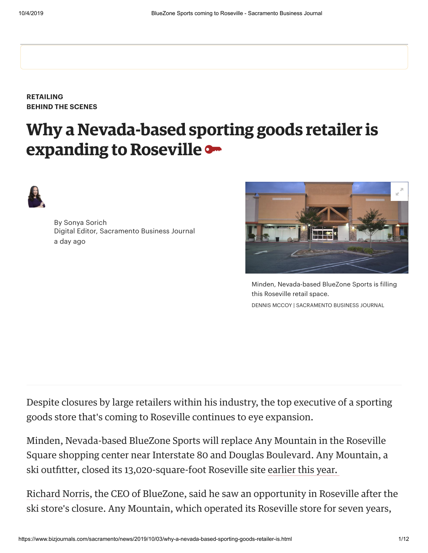**[RETAILING](https://www.bizjournals.com/sacramento/news/retailing/) BEHIND THE SCENES**

## **Why a Nevada-based sporting goods retailer is expanding to Roseville**



By [Sonya Sorich](https://www.bizjournals.com/sacramento/bio/18681/Sonya+Sorich)  Digital Editor, Sacramento Business Journal a day ago



Minden, Nevada-based BlueZone Sports is filling this Roseville retail space. DENNIS MCCOY | SACRAMENTO BUSINESS JOURNAL

Despite closures by large retailers within his industry, the top executive of a sporting goods store that's coming to Roseville continues to eye expansion.

Minden, Nevada-based BlueZone Sports will replace Any Mountain in the Roseville Square shopping center near Interstate 80 and Douglas Boulevard. Any Mountain, a ski outfitter, closed its 13,020-square-foot Roseville site earlier this year.

Richard Norris, the CEO of BlueZone, said he saw an opportunity in Roseville after the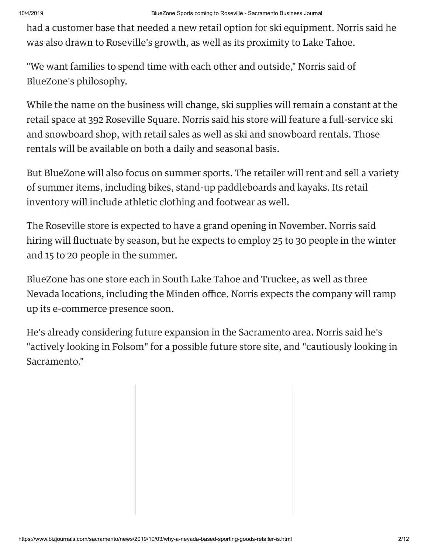had a customer base that needed a new retail option for ski equipment. Norris said he was also drawn to Roseville's growth, as well as its proximity to Lake Tahoe.

"We want families to spend time with each other and outside," Norris said of BlueZone's philosophy.

While the name on the business will change, ski supplies will remain a constant at the retail space at 392 Roseville Square. Norris said his store will feature a full-service ski and snowboard shop, with retail sales as well as ski and snowboard rentals. Those rentals will be available on both a daily and seasonal basis.

But BlueZone will also focus on summer sports. The retailer will rent and sell a variety of summer items, including bikes, stand-up paddleboards and kayaks. Its retail inventory will include athletic clothing and footwear as well.

The Roseville store is expected to have a grand opening in November. Norris said hiring will fluctuate by season, but he expects to employ 25 to 30 people in the winter nd 15 to 20 people in the summer.

BlueZone has one store each in South Lake Tahoe and Truckee, as well as three Nevada locations, including the Minden office. Norris expects the company will ramp up its e-commerce presence soon.

He's already considering future expansion in the Sacramento area. Norris said he's "actively looking in Folsom" for a possible future store site, and "cautiously looking in Sacramento."